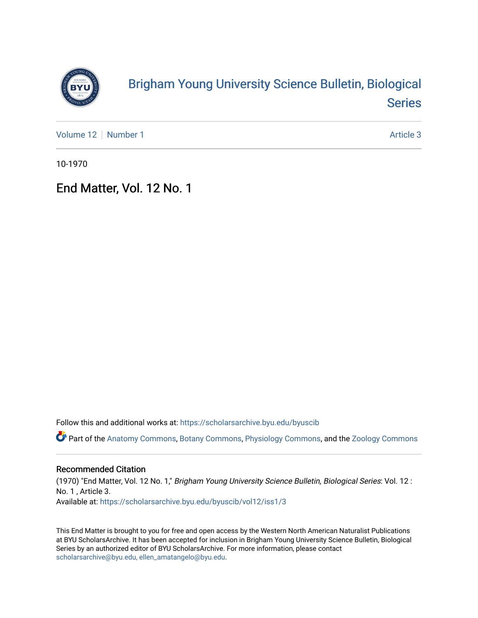

## [Brigham Young University Science Bulletin, Biological](https://scholarsarchive.byu.edu/byuscib)  [Series](https://scholarsarchive.byu.edu/byuscib)

[Volume 12](https://scholarsarchive.byu.edu/byuscib/vol12) [Number 1](https://scholarsarchive.byu.edu/byuscib/vol12/iss1) Article 3

10-1970

## End Matter, Vol. 12 No. 1

Follow this and additional works at: [https://scholarsarchive.byu.edu/byuscib](https://scholarsarchive.byu.edu/byuscib?utm_source=scholarsarchive.byu.edu%2Fbyuscib%2Fvol12%2Fiss1%2F3&utm_medium=PDF&utm_campaign=PDFCoverPages)

Part of the [Anatomy Commons,](http://network.bepress.com/hgg/discipline/903?utm_source=scholarsarchive.byu.edu%2Fbyuscib%2Fvol12%2Fiss1%2F3&utm_medium=PDF&utm_campaign=PDFCoverPages) [Botany Commons,](http://network.bepress.com/hgg/discipline/104?utm_source=scholarsarchive.byu.edu%2Fbyuscib%2Fvol12%2Fiss1%2F3&utm_medium=PDF&utm_campaign=PDFCoverPages) [Physiology Commons,](http://network.bepress.com/hgg/discipline/69?utm_source=scholarsarchive.byu.edu%2Fbyuscib%2Fvol12%2Fiss1%2F3&utm_medium=PDF&utm_campaign=PDFCoverPages) and the [Zoology Commons](http://network.bepress.com/hgg/discipline/81?utm_source=scholarsarchive.byu.edu%2Fbyuscib%2Fvol12%2Fiss1%2F3&utm_medium=PDF&utm_campaign=PDFCoverPages)

## Recommended Citation

(1970) "End Matter, Vol. 12 No. 1," Brigham Young University Science Bulletin, Biological Series: Vol. 12 : No. 1 , Article 3. Available at: [https://scholarsarchive.byu.edu/byuscib/vol12/iss1/3](https://scholarsarchive.byu.edu/byuscib/vol12/iss1/3?utm_source=scholarsarchive.byu.edu%2Fbyuscib%2Fvol12%2Fiss1%2F3&utm_medium=PDF&utm_campaign=PDFCoverPages) 

This End Matter is brought to you for free and open access by the Western North American Naturalist Publications at BYU ScholarsArchive. It has been accepted for inclusion in Brigham Young University Science Bulletin, Biological Series by an authorized editor of BYU ScholarsArchive. For more information, please contact [scholarsarchive@byu.edu, ellen\\_amatangelo@byu.edu](mailto:scholarsarchive@byu.edu,%20ellen_amatangelo@byu.edu).